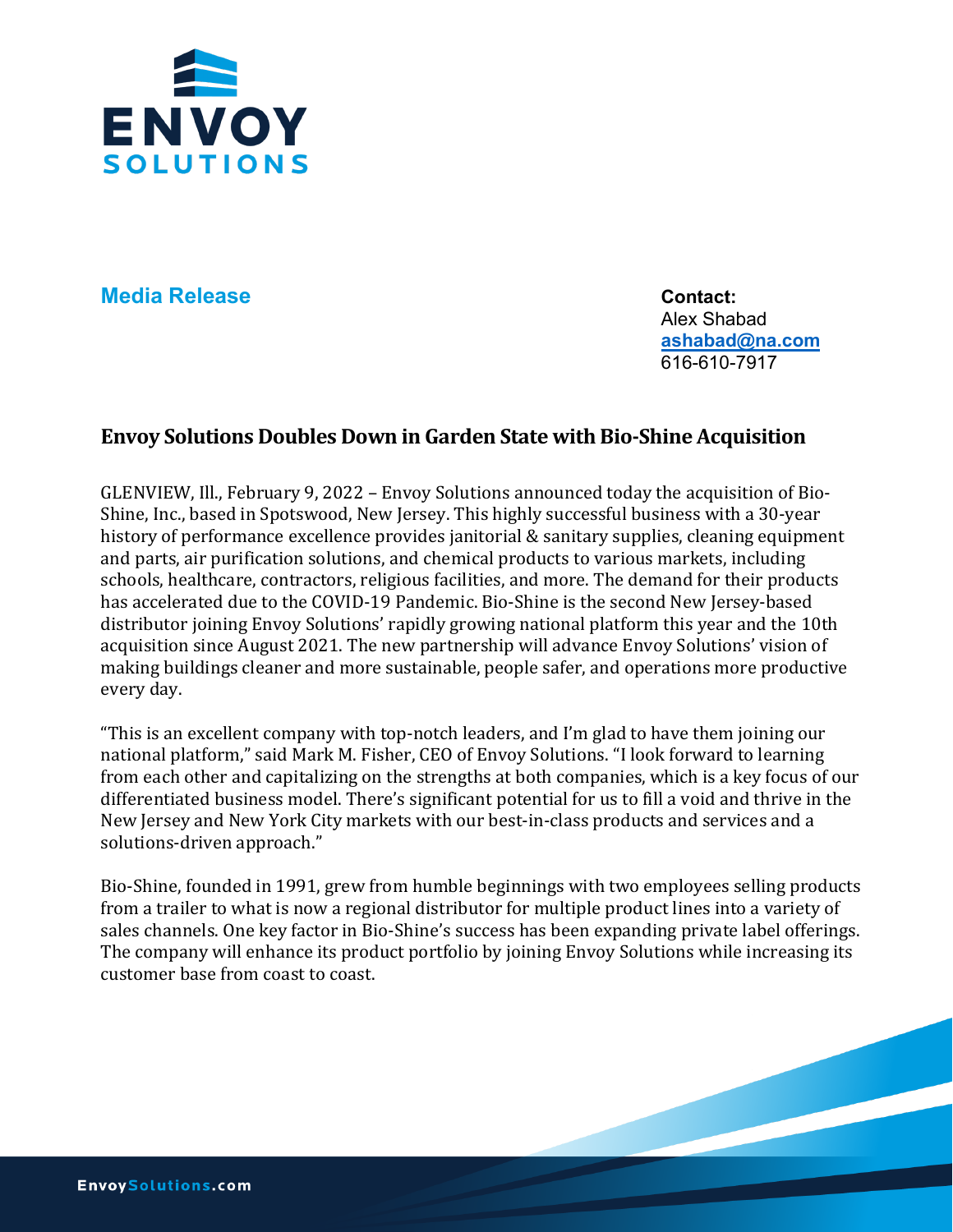

**Media Release Contact:** 

Alex Shabad **[ashabad@na.com](mailto:ashabad@na.com)** 616-610-7917

## **Envoy Solutions Doubles Down in Garden State with Bio-Shine Acquisition**

GLENVIEW, Ill., February 9, 2022 – Envoy Solutions announced today the acquisition of Bio-Shine, Inc., based in Spotswood, New Jersey. This highly successful business with a 30-year history of performance excellence provides janitorial & sanitary supplies, cleaning equipment and parts, air purification solutions, and chemical products to various markets, including schools, healthcare, contractors, religious facilities, and more. The demand for their products has accelerated due to the COVID-19 Pandemic. Bio-Shine is the second New Jersey-based distributor joining Envoy Solutions' rapidly growing national platform this year and the 10th acquisition since August 2021. The new partnership will advance Envoy Solutions' vision of making buildings cleaner and more sustainable, people safer, and operations more productive every day.

"This is an excellent company with top-notch leaders, and I'm glad to have them joining our national platform," said Mark M. Fisher, CEO of Envoy Solutions. "I look forward to learning from each other and capitalizing on the strengths at both companies, which is a key focus of our differentiated business model. There's significant potential for us to fill a void and thrive in the New Jersey and New York City markets with our best-in-class products and services and a solutions-driven approach."

Bio-Shine, founded in 1991, grew from humble beginnings with two employees selling products from a trailer to what is now a regional distributor for multiple product lines into a variety of sales channels. One key factor in Bio-Shine's success has been expanding private label offerings. The company will enhance its product portfolio by joining Envoy Solutions while increasing its customer base from coast to coast.